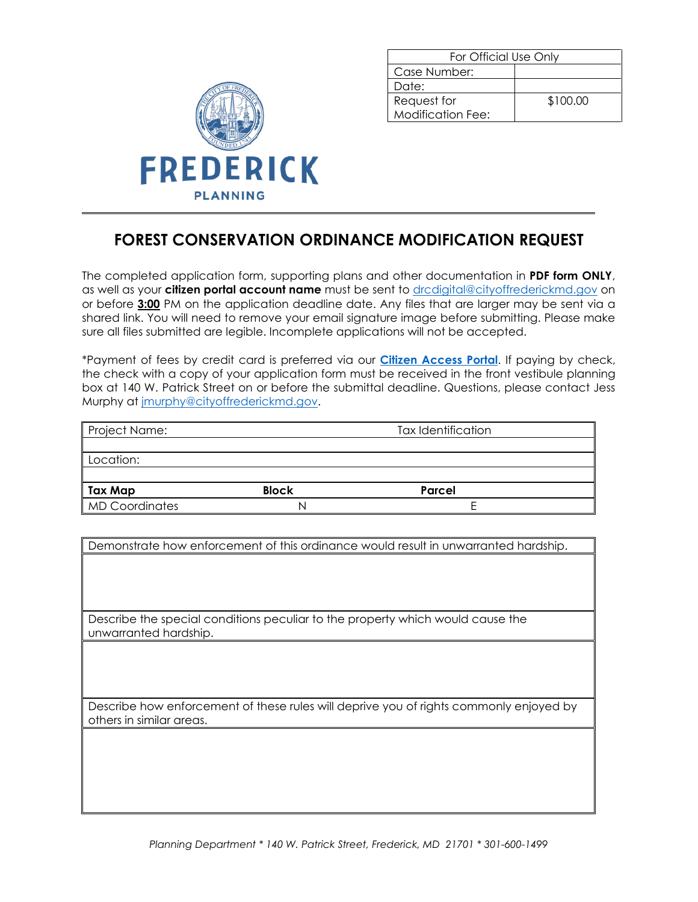

| For Official Use Only |          |  |
|-----------------------|----------|--|
| Case Number:          |          |  |
| Date:                 |          |  |
| Request for           | \$100.00 |  |
| Modification Fee:     |          |  |

## **FOREST CONSERVATION ORDINANCE MODIFICATION REQUEST**

The completed application form, supporting plans and other documentation in **PDF form ONLY**, as well as your **citizen portal account name** must be sent to [drcdigital@cityoffrederickmd.gov](mailto:drcdigital@cityoffrederickmd.gov) on or before **3:00** PM on the application deadline date. Any files that are larger may be sent via a shared link. You will need to remove your email signature image before submitting. Please make sure all files submitted are legible. Incomplete applications will not be accepted.

\*Payment of fees by credit card is preferred via our **[Citizen Access Portal](https://gcc02.safelinks.protection.outlook.com/?url=https%3A%2F%2Fcitizenaccess.cityoffrederick.com%2Fcitizenaccess%2F&data=02%7C01%7Cgcollard%40cityoffrederickmd.gov%7Cad3d08217e17487711b308d7d4cd9765%7Cc379f8550dee4b099f890cee3aa7f761%7C0%7C0%7C637211851779890394&sdata=fTC85eZgbuzzFKzq%2Fio%2FHxCILWPquIWiY8bsVzLfTtM%3D&reserved=0)**. If paying by check, the check with a copy of your application form must be received in the front vestibule planning box at 140 W. Patrick Street on or before the submittal deadline. Questions, please contact Jess Murphy at [jmurphy@cityoffrederickmd.gov.](mailto:jmurphy@cityoffrederickmd.gov)

| Project Name:         |              | <b>Tax Identification</b> |
|-----------------------|--------------|---------------------------|
|                       |              |                           |
| Location:             |              |                           |
|                       |              |                           |
| Tax Map               | <b>Block</b> | Parcel                    |
| <b>MD Coordinates</b> |              |                           |

Demonstrate how enforcement of this ordinance would result in unwarranted hardship.

Describe the special conditions peculiar to the property which would cause the unwarranted hardship.

Describe how enforcement of these rules will deprive you of rights commonly enjoyed by others in similar areas.